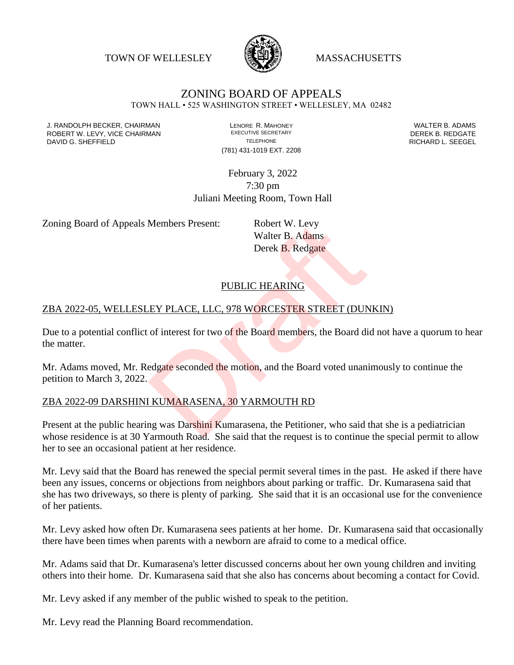TOWN OF WELLESLEY **WASSACHUSETTS** 



# ZONING BOARD OF APPEALS

TOWN HALL • 525 WASHINGTON STREET • WELLESLEY, MA 02482

J. RANDOLPH BECKER, CHAIRMAN LENORE R. MAHONEY LENORE R. MAHONEY LENORE R. ADAMS<br>ROBERT W. I FVY. VICE CHAIRMAN LEXECUTIVE SECRETARY LETTER TO RESERT A LATER B. REDGATE ROBERT W. LEVY, VICE CHAIRMAN EXECUTIVE SECRETARY FOR EXECUTIVE SECRETARY DEREK B. REDGATE DAVID G. SHEFFIELD **TELEPHONE** TELEPHONE TELEPHONE **RICHARD L. SEEGEL** 

(781) 431-1019 EXT. 2208

February 3, 2022 7:30 pm Juliani Meeting Room, Town Hall

Zoning Board of Appeals Members Present: Robert W. Levy

Walter B. Adams Derek B. Redgate

## PUBLIC HEARING

#### ZBA 2022-05, WELLESLEY PLACE, LLC, 978 WORCESTER STREET (DUNKIN)

Due to a potential conflict of interest for two of the Board members, the Board did not have a quorum to hear the matter. Members Present: Robert W. Levy<br>Walter B. Adams<br>Derek B. Redgate<br>PUBLIC HEARING<br>EY PLACE, LLC, 978 WORCESTER STREET (DUN<br>of interest for two of the Board members, the Board di<br>edgate seconded the motion, and the Board vote

Mr. Adams moved, Mr. Redgate seconded the motion, and the Board voted unanimously to continue the petition to March 3, 2022.

#### ZBA 2022-09 DARSHINI KUMARASENA, 30 YARMOUTH RD

Present at the public hearing was Darshini Kumarasena, the Petitioner, who said that she is a pediatrician whose residence is at 30 Yarmouth Road. She said that the request is to continue the special permit to allow her to see an occasional patient at her residence.

Mr. Levy said that the Board has renewed the special permit several times in the past. He asked if there have been any issues, concerns or objections from neighbors about parking or traffic. Dr. Kumarasena said that she has two driveways, so there is plenty of parking. She said that it is an occasional use for the convenience of her patients.

Mr. Levy asked how often Dr. Kumarasena sees patients at her home. Dr. Kumarasena said that occasionally there have been times when parents with a newborn are afraid to come to a medical office.

Mr. Adams said that Dr. Kumarasena's letter discussed concerns about her own young children and inviting others into their home. Dr. Kumarasena said that she also has concerns about becoming a contact for Covid.

Mr. Levy asked if any member of the public wished to speak to the petition.

Mr. Levy read the Planning Board recommendation.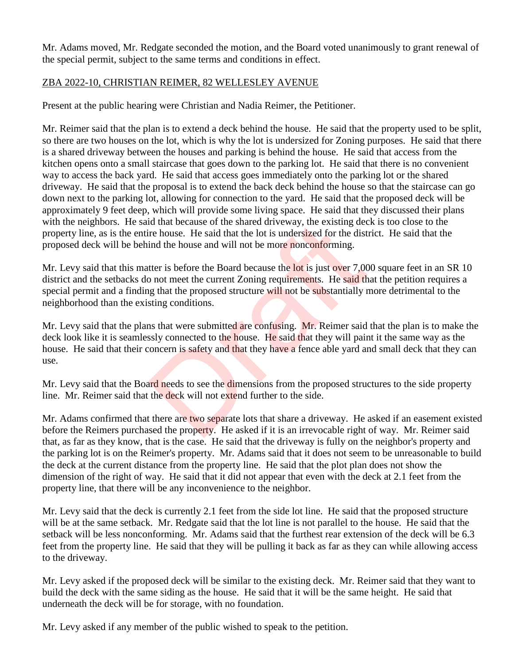Mr. Adams moved, Mr. Redgate seconded the motion, and the Board voted unanimously to grant renewal of the special permit, subject to the same terms and conditions in effect.

#### ZBA 2022-10, CHRISTIAN REIMER, 82 WELLESLEY AVENUE

Present at the public hearing were Christian and Nadia Reimer, the Petitioner.

Mr. Reimer said that the plan is to extend a deck behind the house. He said that the property used to be split, so there are two houses on the lot, which is why the lot is undersized for Zoning purposes. He said that there is a shared driveway between the houses and parking is behind the house. He said that access from the kitchen opens onto a small staircase that goes down to the parking lot. He said that there is no convenient way to access the back yard. He said that access goes immediately onto the parking lot or the shared driveway. He said that the proposal is to extend the back deck behind the house so that the staircase can go down next to the parking lot, allowing for connection to the yard. He said that the proposed deck will be approximately 9 feet deep, which will provide some living space. He said that they discussed their plans with the neighbors. He said that because of the shared driveway, the existing deck is too close to the property line, as is the entire house. He said that the lot is undersized for the district. He said that the proposed deck will be behind the house and will not be more nonconforming.

Mr. Levy said that this matter is before the Board because the lot is just over 7,000 square feet in an SR 10 district and the setbacks do not meet the current Zoning requirements. He said that the petition requires a special permit and a finding that the proposed structure will not be substantially more detrimental to the neighborhood than the existing conditions. In that because of the shared driveway, the existing decire house. He said that the lot is undersized for the dist<br>ind the house and will not be more nonconforming.<br>tter is before the Board because the lot is just over 7,0

Mr. Levy said that the plans that were submitted are confusing. Mr. Reimer said that the plan is to make the deck look like it is seamlessly connected to the house. He said that they will paint it the same way as the house. He said that their concern is safety and that they have a fence able yard and small deck that they can use.

Mr. Levy said that the Board needs to see the dimensions from the proposed structures to the side property line. Mr. Reimer said that the deck will not extend further to the side.

Mr. Adams confirmed that there are two separate lots that share a driveway. He asked if an easement existed before the Reimers purchased the property. He asked if it is an irrevocable right of way. Mr. Reimer said that, as far as they know, that is the case. He said that the driveway is fully on the neighbor's property and the parking lot is on the Reimer's property. Mr. Adams said that it does not seem to be unreasonable to build the deck at the current distance from the property line. He said that the plot plan does not show the dimension of the right of way. He said that it did not appear that even with the deck at 2.1 feet from the property line, that there will be any inconvenience to the neighbor.

Mr. Levy said that the deck is currently 2.1 feet from the side lot line. He said that the proposed structure will be at the same setback. Mr. Redgate said that the lot line is not parallel to the house. He said that the setback will be less nonconforming. Mr. Adams said that the furthest rear extension of the deck will be 6.3 feet from the property line. He said that they will be pulling it back as far as they can while allowing access to the driveway.

Mr. Levy asked if the proposed deck will be similar to the existing deck. Mr. Reimer said that they want to build the deck with the same siding as the house. He said that it will be the same height. He said that underneath the deck will be for storage, with no foundation.

Mr. Levy asked if any member of the public wished to speak to the petition.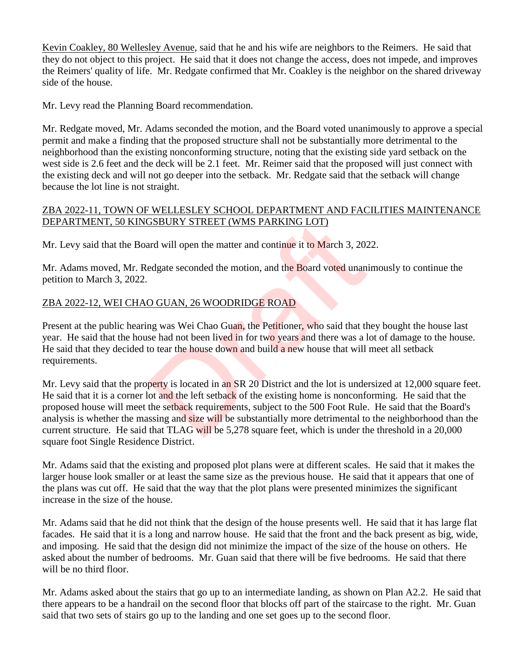Kevin Coakley, 80 Wellesley Avenue, said that he and his wife are neighbors to the Reimers. He said that they do not object to this project. He said that it does not change the access, does not impede, and improves the Reimers' quality of life. Mr. Redgate confirmed that Mr. Coakley is the neighbor on the shared driveway side of the house.

Mr. Levy read the Planning Board recommendation.

Mr. Redgate moved, Mr. Adams seconded the motion, and the Board voted unanimously to approve a special permit and make a finding that the proposed structure shall not be substantially more detrimental to the neighborhood than the existing nonconforming structure, noting that the existing side yard setback on the west side is 2.6 feet and the deck will be 2.1 feet. Mr. Reimer said that the proposed will just connect with the existing deck and will not go deeper into the setback. Mr. Redgate said that the setback will change because the lot line is not straight.

#### ZBA 2022-11, TOWN OF WELLESLEY SCHOOL DEPARTMENT AND FACILITIES MAINTENANCE DEPARTMENT, 50 KINGSBURY STREET (WMS PARKING LOT)

Mr. Levy said that the Board will open the matter and continue it to March 3, 2022.

Mr. Adams moved, Mr. Redgate seconded the motion, and the Board voted unanimously to continue the petition to March 3, 2022.

# ZBA 2022-12, WEI CHAO GUAN, 26 WOODRIDGE ROAD

Present at the public hearing was Wei Chao Guan, the Petitioner, who said that they bought the house last year. He said that the house had not been lived in for two years and there was a lot of damage to the house. He said that they decided to tear the house down and build a new house that will meet all setback requirements.

Mr. Levy said that the property is located in an SR 20 District and the lot is undersized at 12,000 square feet. He said that it is a corner lot and the left setback of the existing home is nonconforming. He said that the proposed house will meet the setback requirements, subject to the 500 Foot Rule. He said that the Board's analysis is whether the massing and size will be substantially more detrimental to the neighborhood than the current structure. He said that TLAG will be 5,278 square feet, which is under the threshold in a 20,000 square foot Single Residence District. **SBURY STREET (WMS PARKING LOT)**<br>and will open the matter and continue it to March 3, 202<br>edgate seconded the motion, and the Board voted unan<br>O GUAN, 26 WOODRIDGE ROAD<br>mg was Wei Chao Guan, the Petitioner, who said that t

Mr. Adams said that the existing and proposed plot plans were at different scales. He said that it makes the larger house look smaller or at least the same size as the previous house. He said that it appears that one of the plans was cut off. He said that the way that the plot plans were presented minimizes the significant increase in the size of the house.

Mr. Adams said that he did not think that the design of the house presents well. He said that it has large flat facades. He said that it is a long and narrow house. He said that the front and the back present as big, wide, and imposing. He said that the design did not minimize the impact of the size of the house on others. He asked about the number of bedrooms. Mr. Guan said that there will be five bedrooms. He said that there will be no third floor.

Mr. Adams asked about the stairs that go up to an intermediate landing, as shown on Plan A2.2. He said that there appears to be a handrail on the second floor that blocks off part of the staircase to the right. Mr. Guan said that two sets of stairs go up to the landing and one set goes up to the second floor.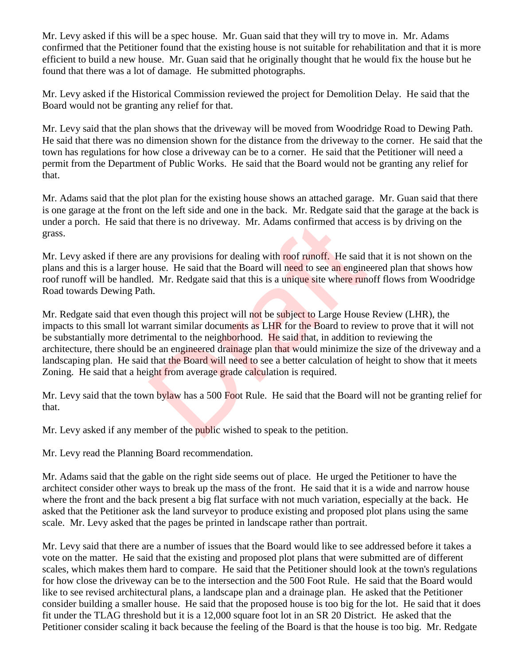Mr. Levy asked if this will be a spec house. Mr. Guan said that they will try to move in. Mr. Adams confirmed that the Petitioner found that the existing house is not suitable for rehabilitation and that it is more efficient to build a new house. Mr. Guan said that he originally thought that he would fix the house but he found that there was a lot of damage. He submitted photographs.

Mr. Levy asked if the Historical Commission reviewed the project for Demolition Delay. He said that the Board would not be granting any relief for that.

Mr. Levy said that the plan shows that the driveway will be moved from Woodridge Road to Dewing Path. He said that there was no dimension shown for the distance from the driveway to the corner. He said that the town has regulations for how close a driveway can be to a corner. He said that the Petitioner will need a permit from the Department of Public Works. He said that the Board would not be granting any relief for that.

Mr. Adams said that the plot plan for the existing house shows an attached garage. Mr. Guan said that there is one garage at the front on the left side and one in the back. Mr. Redgate said that the garage at the back is under a porch. He said that there is no driveway. Mr. Adams confirmed that access is by driving on the grass.

Mr. Levy asked if there are any provisions for dealing with roof runoff. He said that it is not shown on the plans and this is a larger house. He said that the Board will need to see an engineered plan that shows how roof runoff will be handled. Mr. Redgate said that this is a unique site where runoff flows from Woodridge Road towards Dewing Path.

Mr. Redgate said that even though this project will not be subject to Large House Review (LHR), the impacts to this small lot warrant similar documents as LHR for the Board to review to prove that it will not be substantially more detrimental to the neighborhood. He said that, in addition to reviewing the architecture, there should be an engineered drainage plan that would minimize the size of the driveway and a landscaping plan. He said that the Board will need to see a better calculation of height to show that it meets Zoning. He said that a height from average grade calculation is required. It there is no driveway. Mr. Adams confirmed that acc<br>
e any provisions for dealing with roof runoff. He said<br>
ouse. He said that the Board will need to see an engine<br>
d. Mr. Redgate said that this is a unique site where r

Mr. Levy said that the town bylaw has a 500 Foot Rule. He said that the Board will not be granting relief for that.

Mr. Levy asked if any member of the **public** wished to speak to the petition.

Mr. Levy read the Planning Board recommendation.

Mr. Adams said that the gable on the right side seems out of place. He urged the Petitioner to have the architect consider other ways to break up the mass of the front. He said that it is a wide and narrow house where the front and the back present a big flat surface with not much variation, especially at the back. He asked that the Petitioner ask the land surveyor to produce existing and proposed plot plans using the same scale. Mr. Levy asked that the pages be printed in landscape rather than portrait.

Mr. Levy said that there are a number of issues that the Board would like to see addressed before it takes a vote on the matter. He said that the existing and proposed plot plans that were submitted are of different scales, which makes them hard to compare. He said that the Petitioner should look at the town's regulations for how close the driveway can be to the intersection and the 500 Foot Rule. He said that the Board would like to see revised architectural plans, a landscape plan and a drainage plan. He asked that the Petitioner consider building a smaller house. He said that the proposed house is too big for the lot. He said that it does fit under the TLAG threshold but it is a 12,000 square foot lot in an SR 20 District. He asked that the Petitioner consider scaling it back because the feeling of the Board is that the house is too big. Mr. Redgate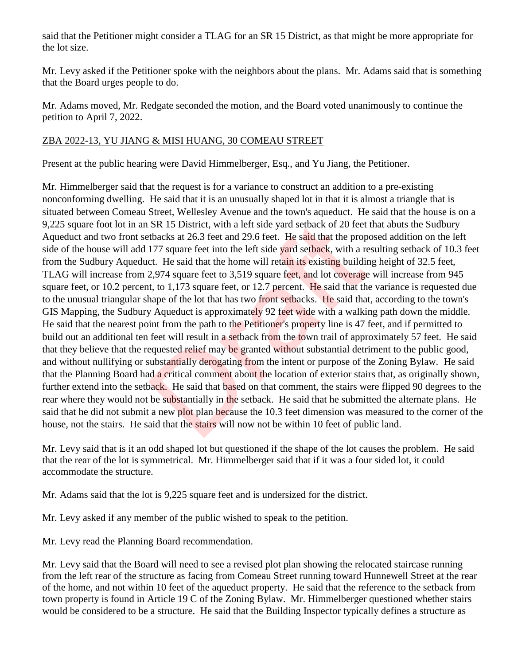said that the Petitioner might consider a TLAG for an SR 15 District, as that might be more appropriate for the lot size.

Mr. Levy asked if the Petitioner spoke with the neighbors about the plans. Mr. Adams said that is something that the Board urges people to do.

Mr. Adams moved, Mr. Redgate seconded the motion, and the Board voted unanimously to continue the petition to April 7, 2022.

#### ZBA 2022-13, YU JIANG & MISI HUANG, 30 COMEAU STREET

Present at the public hearing were David Himmelberger, Esq., and Yu Jiang, the Petitioner.

Mr. Himmelberger said that the request is for a variance to construct an addition to a pre-existing nonconforming dwelling. He said that it is an unusually shaped lot in that it is almost a triangle that is situated between Comeau Street, Wellesley Avenue and the town's aqueduct. He said that the house is on a 9,225 square foot lot in an SR 15 District, with a left side yard setback of 20 feet that abuts the Sudbury Aqueduct and two front setbacks at 26.3 feet and 29.6 feet. He said that the proposed addition on the left side of the house will add 177 square feet into the left side yard setback, with a resulting setback of 10.3 feet from the Sudbury Aqueduct. He said that the home will retain its existing building height of 32.5 feet, TLAG will increase from 2,974 square feet to 3,519 square feet, and lot coverage will increase from 945 square feet, or 10.2 percent, to 1,173 square feet, or 12.7 percent. He said that the variance is requested due to the unusual triangular shape of the lot that has two front setbacks. He said that, according to the town's GIS Mapping, the Sudbury Aqueduct is approximately 92 feet wide with a walking path down the middle. He said that the nearest point from the path to the Petitioner's property line is 47 feet, and if permitted to build out an additional ten feet will result in a setback from the town trail of approximately 57 feet. He said that they believe that the requested relief may be granted without substantial detriment to the public good, and without nullifying or substantially derogating from the intent or purpose of the Zoning Bylaw. He said that the Planning Board had a critical comment about the location of exterior stairs that, as originally shown, further extend into the setback. He said that based on that comment, the stairs were flipped 90 degrees to the rear where they would not be substantially in the setback. He said that he submitted the alternate plans. He said that he did not submit a new plot plan because the 10.3 feet dimension was measured to the corner of the house, not the stairs. He said that the stairs will now not be within 10 feet of public land. SR 15 District, with a left side yard setback of 20 feet<br>tbacks at 26.3 feet and 29.6 feet. He said that the prop<br>177 square feet into the left side yard setback, with a rect.<br>He said that the home will retain its existin

Mr. Levy said that is it an odd shaped lot but questioned if the shape of the lot causes the problem. He said that the rear of the lot is symmetrical. Mr. Himmelberger said that if it was a four sided lot, it could accommodate the structure.

Mr. Adams said that the lot is 9,225 square feet and is undersized for the district.

Mr. Levy asked if any member of the public wished to speak to the petition.

Mr. Levy read the Planning Board recommendation.

Mr. Levy said that the Board will need to see a revised plot plan showing the relocated staircase running from the left rear of the structure as facing from Comeau Street running toward Hunnewell Street at the rear of the home, and not within 10 feet of the aqueduct property. He said that the reference to the setback from town property is found in Article 19 C of the Zoning Bylaw. Mr. Himmelberger questioned whether stairs would be considered to be a structure. He said that the Building Inspector typically defines a structure as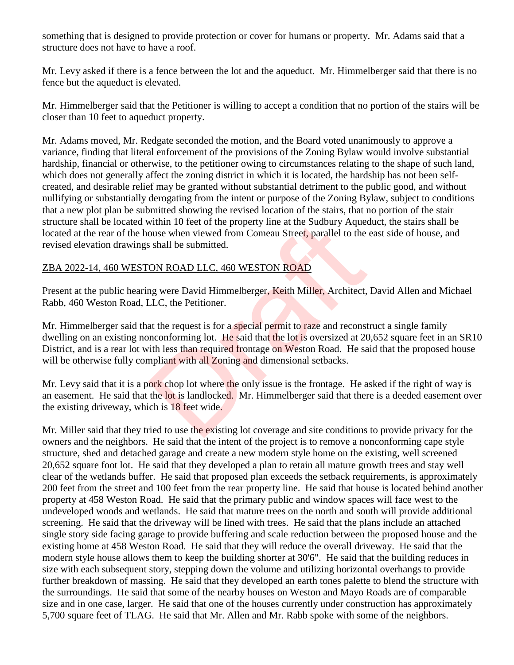something that is designed to provide protection or cover for humans or property. Mr. Adams said that a structure does not have to have a roof.

Mr. Levy asked if there is a fence between the lot and the aqueduct. Mr. Himmelberger said that there is no fence but the aqueduct is elevated.

Mr. Himmelberger said that the Petitioner is willing to accept a condition that no portion of the stairs will be closer than 10 feet to aqueduct property.

Mr. Adams moved, Mr. Redgate seconded the motion, and the Board voted unanimously to approve a variance, finding that literal enforcement of the provisions of the Zoning Bylaw would involve substantial hardship, financial or otherwise, to the petitioner owing to circumstances relating to the shape of such land, which does not generally affect the zoning district in which it is located, the hardship has not been selfcreated, and desirable relief may be granted without substantial detriment to the public good, and without nullifying or substantially derogating from the intent or purpose of the Zoning Bylaw, subject to conditions that a new plot plan be submitted showing the revised location of the stairs, that no portion of the stair structure shall be located within 10 feet of the property line at the Sudbury Aqueduct, the stairs shall be located at the rear of the house when viewed from Comeau Street, parallel to the east side of house, and revised elevation drawings shall be submitted.

#### ZBA 2022-14, 460 WESTON ROAD LLC, 460 WESTON ROAD

Present at the public hearing were David Himmelberger, Keith Miller, Architect, David Allen and Michael Rabb, 460 Weston Road, LLC, the Petitioner.

Mr. Himmelberger said that the request is for a special permit to raze and reconstruct a single family dwelling on an existing nonconforming lot. He said that the lot is oversized at 20,652 square feet in an SR10 District, and is a rear lot with less than required frontage on Weston Road. He said that the proposed house will be otherwise fully compliant with all Zoning and dimensional setbacks. within 10 feet of the property line at the Sudbury Aqued<br>ouse when viewed from Comeau Street, parallel to the<br>s shall be submitted.<br>ON ROAD LLC, 460 WESTON ROAD<br>mg were David Himmelberger, Keith Miller, Architect,<br>LLC, the

Mr. Levy said that it is a pork chop lot where the only issue is the frontage. He asked if the right of way is an easement. He said that the lot is landlocked. Mr. Himmelberger said that there is a deeded easement over the existing driveway, which is 18 feet wide.

Mr. Miller said that they tried to use the existing lot coverage and site conditions to provide privacy for the owners and the neighbors. He said that the intent of the project is to remove a nonconforming cape style structure, shed and detached garage and create a new modern style home on the existing, well screened 20,652 square foot lot. He said that they developed a plan to retain all mature growth trees and stay well clear of the wetlands buffer. He said that proposed plan exceeds the setback requirements, is approximately 200 feet from the street and 100 feet from the rear property line. He said that house is located behind another property at 458 Weston Road. He said that the primary public and window spaces will face west to the undeveloped woods and wetlands. He said that mature trees on the north and south will provide additional screening. He said that the driveway will be lined with trees. He said that the plans include an attached single story side facing garage to provide buffering and scale reduction between the proposed house and the existing home at 458 Weston Road. He said that they will reduce the overall driveway. He said that the modern style house allows them to keep the building shorter at 30'6". He said that the building reduces in size with each subsequent story, stepping down the volume and utilizing horizontal overhangs to provide further breakdown of massing. He said that they developed an earth tones palette to blend the structure with the surroundings. He said that some of the nearby houses on Weston and Mayo Roads are of comparable size and in one case, larger. He said that one of the houses currently under construction has approximately 5,700 square feet of TLAG. He said that Mr. Allen and Mr. Rabb spoke with some of the neighbors.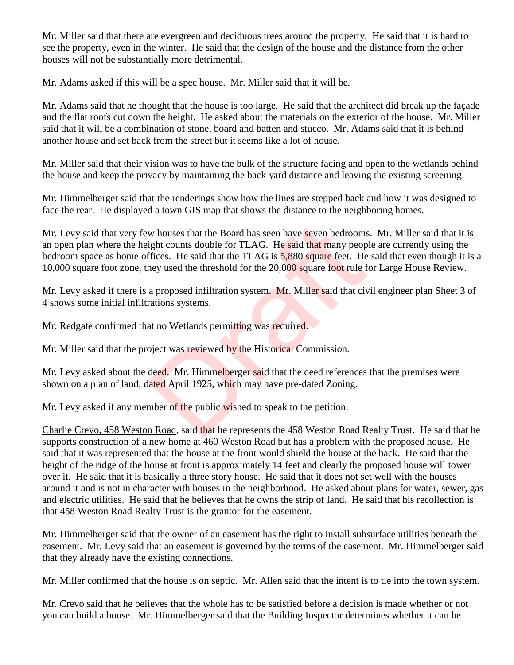Mr. Miller said that there are evergreen and deciduous trees around the property. He said that it is hard to see the property, even in the winter. He said that the design of the house and the distance from the other houses will not be substantially more detrimental.

Mr. Adams asked if this will be a spec house. Mr. Miller said that it will be.

Mr. Adams said that he thought that the house is too large. He said that the architect did break up the façade and the flat roofs cut down the height. He asked about the materials on the exterior of the house. Mr. Miller said that it will be a combination of stone, board and batten and stucco. Mr. Adams said that it is behind another house and set back from the street but it seems like a lot of house.

Mr. Miller said that their vision was to have the bulk of the structure facing and open to the wetlands behind the house and keep the privacy by maintaining the back yard distance and leaving the existing screening.

Mr. Himmelberger said that the renderings show how the lines are stepped back and how it was designed to face the rear. He displayed a town GIS map that shows the distance to the neighboring homes.

Mr. Levy said that very few houses that the Board has seen have seven bedrooms. Mr. Miller said that it is an open plan where the height counts double for TLAG. He said that many people are currently using the bedroom space as home offices. He said that the TLAG is 5,880 square feet. He said that even though it is a 10,000 square foot zone, they used the threshold for the 20,000 square foot rule for Large House Review. w houses that the Board has seen have seven bedrooms<br>ight counts double for TLAG. He said that many peop<br>ffices. He said that the TLAG is 5,880 square feet. He<br>hey used the threshold for the 20,000 square foot rule f<br>a pro

Mr. Levy asked if there is a proposed infiltration system. Mr. Miller said that civil engineer plan Sheet 3 of 4 shows some initial infiltrations systems.

Mr. Redgate confirmed that no Wetlands permitting was required.

Mr. Miller said that the project was reviewed by the Historical Commission.

Mr. Levy asked about the deed. Mr. Himmelberger said that the deed references that the premises were shown on a plan of land, dated April 1925, which may have pre-dated Zoning.

Mr. Levy asked if any member of the public wished to speak to the petition.

Charlie Crevo, 458 Weston Road, said that he represents the 458 Weston Road Realty Trust. He said that he supports construction of a new home at 460 Weston Road but has a problem with the proposed house. He said that it was represented that the house at the front would shield the house at the back. He said that the height of the ridge of the house at front is approximately 14 feet and clearly the proposed house will tower over it. He said that it is basically a three story house. He said that it does not set well with the houses around it and is not in character with houses in the neighborhood. He asked about plans for water, sewer, gas and electric utilities. He said that he believes that he owns the strip of land. He said that his recollection is that 458 Weston Road Realty Trust is the grantor for the easement.

Mr. Himmelberger said that the owner of an easement has the right to install subsurface utilities beneath the easement. Mr. Levy said that an easement is governed by the terms of the easement. Mr. Himmelberger said that they already have the existing connections.

Mr. Miller confirmed that the house is on septic. Mr. Allen said that the intent is to tie into the town system.

Mr. Crevo said that he believes that the whole has to be satisfied before a decision is made whether or not you can build a house. Mr. Himmelberger said that the Building Inspector determines whether it can be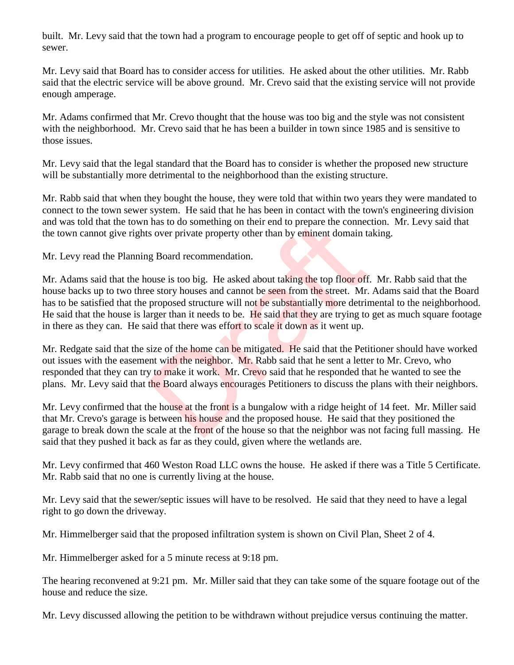built. Mr. Levy said that the town had a program to encourage people to get off of septic and hook up to sewer.

Mr. Levy said that Board has to consider access for utilities. He asked about the other utilities. Mr. Rabb said that the electric service will be above ground. Mr. Crevo said that the existing service will not provide enough amperage.

Mr. Adams confirmed that Mr. Crevo thought that the house was too big and the style was not consistent with the neighborhood. Mr. Crevo said that he has been a builder in town since 1985 and is sensitive to those issues.

Mr. Levy said that the legal standard that the Board has to consider is whether the proposed new structure will be substantially more detrimental to the neighborhood than the existing structure.

Mr. Rabb said that when they bought the house, they were told that within two years they were mandated to connect to the town sewer system. He said that he has been in contact with the town's engineering division and was told that the town has to do something on their end to prepare the connection. Mr. Levy said that the town cannot give rights over private property other than by eminent domain taking.

Mr. Levy read the Planning Board recommendation.

Mr. Adams said that the house is too big. He asked about taking the top floor off. Mr. Rabb said that the house backs up to two three story houses and cannot be seen from the street. Mr. Adams said that the Board has to be satisfied that the proposed structure will not be substantially more detrimental to the neighborhood. He said that the house is larger than it needs to be. He said that they are trying to get as much square footage in there as they can. He said that there was effort to scale it down as it went up. has to do something on their end to prepare the connect sover private property other than by eminent domain t g Board recommendation.<br>
Drag Board recommendation.<br>
Drag Board recommendation.<br>
Drag Board recommendation.<br>
Dra

Mr. Redgate said that the size of the home can be mitigated. He said that the Petitioner should have worked out issues with the easement with the neighbor. Mr. Rabb said that he sent a letter to Mr. Crevo, who responded that they can try to make it work. Mr. Crevo said that he responded that he wanted to see the plans. Mr. Levy said that the Board always encourages Petitioners to discuss the plans with their neighbors.

Mr. Levy confirmed that the house at the front is a bungalow with a ridge height of 14 feet. Mr. Miller said that Mr. Crevo's garage is between his house and the proposed house. He said that they positioned the garage to break down the scale at the front of the house so that the neighbor was not facing full massing. He said that they pushed it back as far as they could, given where the wetlands are.

Mr. Levy confirmed that 460 Weston Road LLC owns the house. He asked if there was a Title 5 Certificate. Mr. Rabb said that no one is currently living at the house.

Mr. Levy said that the sewer/septic issues will have to be resolved. He said that they need to have a legal right to go down the driveway.

Mr. Himmelberger said that the proposed infiltration system is shown on Civil Plan, Sheet 2 of 4.

Mr. Himmelberger asked for a 5 minute recess at 9:18 pm.

The hearing reconvened at 9:21 pm. Mr. Miller said that they can take some of the square footage out of the house and reduce the size.

Mr. Levy discussed allowing the petition to be withdrawn without prejudice versus continuing the matter.